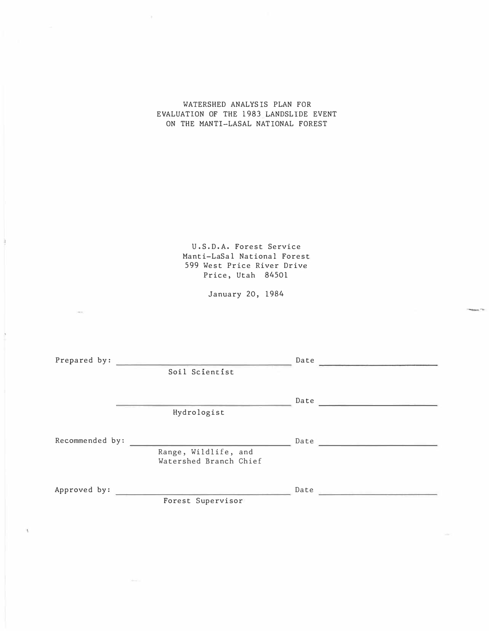# WATERSHED ANALYSIS PLAN FOR EVALUATION OF THE 1983 LANDSLIDE EVENT ON THE MANTI-LASAL NATIONAL FOREST

 $\alpha$ 

 $\mathfrak{h}$ 

|                 | U.S.D.A. Forest Service<br>Manti-LaSal National Forest<br>599 West Price River Drive<br>Price, Utah 84501 |                                                                                                                                                                                                                                          |  |
|-----------------|-----------------------------------------------------------------------------------------------------------|------------------------------------------------------------------------------------------------------------------------------------------------------------------------------------------------------------------------------------------|--|
|                 | January 20, 1984                                                                                          |                                                                                                                                                                                                                                          |  |
|                 |                                                                                                           |                                                                                                                                                                                                                                          |  |
|                 |                                                                                                           |                                                                                                                                                                                                                                          |  |
| Prepared by:    | the control of the control of the control of the control of the control of                                | Date<br>.<br>William Horsey and Constitutions of the Constitution of the Constitution of the Constitution of the Constitution of the Constitution of the Constitution of the Constitution of the Constitution of the Constitution of the |  |
|                 | Soil Scientist                                                                                            | Date<br><u> Albany a Company a Company a Company a Company a Company a Company a Company a Company a Company a Company a Co</u>                                                                                                          |  |
|                 | Hydrologist                                                                                               |                                                                                                                                                                                                                                          |  |
| Recommended by: |                                                                                                           | <u> Communication de Communi</u><br>Date                                                                                                                                                                                                 |  |
|                 | Range, Wildlife, and<br>Watershed Branch Chief                                                            |                                                                                                                                                                                                                                          |  |
| Approved by:    | <u> 1990 - John Harrison, martin a</u>                                                                    | <u> Samuel Communication (September 2007)</u><br>Date                                                                                                                                                                                    |  |
|                 | Forest Supervisor                                                                                         |                                                                                                                                                                                                                                          |  |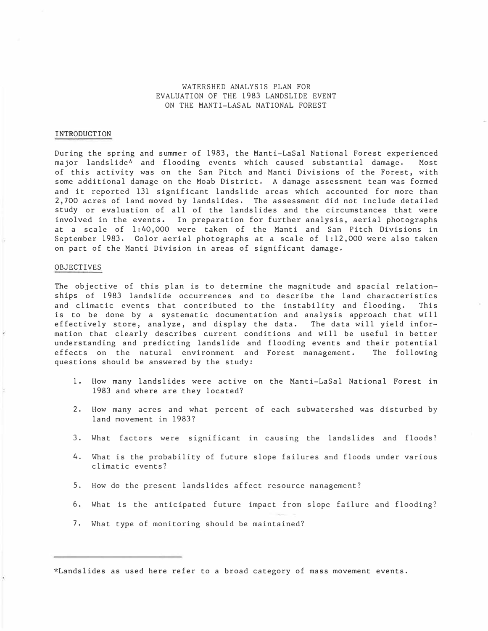WATERSHED ANALYSIS PLAN FOR EVALUATION OF THE 1983 LANDSLIDE EVENT ON THE MANTI-LASAL NATIONAL FOREST

## INTRODUCTION

During the spring and summer of 1983, the Manti-LaSal National Forest experienced major landslide\* and flooding events which caused substantial damage. Most of this activity was on the San Pitch and Manti Divisions of the Forest, with some additional damage on the Moab District. A damage assessment team was formed and it reported 131 significant landslide areas which accounted for more than 2, 700 acres of land moved by landslides. The assessment did not include detailed study or evaluation of all of the landslides and the circumstances that were involved in the events. In preparation for further analysis, aerial photographs at a scale of 1:40,000 were taken of the Manti and San Pitch Divisions in September 1983. Color aerial photographs at a scale of 1:12,000 were also taken on part of the Manti Division in areas of significant damage.

## OBJECTIVES

The objective of this plan is to determine the magnitude and spacial relationships of 1983 landslide occurrences and to describe the land characteristics and climatic events that contributed to the instability and flooding. This is to be done by a systematic documentation and analysis approach that will effectively store, analyze, and display the data. The data will yield information that clearly describes current conditions and will be useful in better understanding and predicting landslide and flooding events and their potential effects on the natural environment and Forest management. The following questions should be answered by the study:

- 1. How many landslides were active on the Manti-LaSal National Forest in 1983 and where are they located?
- 2. How many acres and what percent of each subwatershed was disturbed by land movement in 1983?
- 3. What factors were significant in causing the landslides and floods?
- 4. What is the probability of future slope failures and floods under various climatic events?
- 5. How do the present landslides affect resource management?
- 6. What is the anticipated future impact from slope failure and flooding?
- 7. What type of monitoring should be maintained?

\*Landslides as used here refer to a broad category of mass movement events.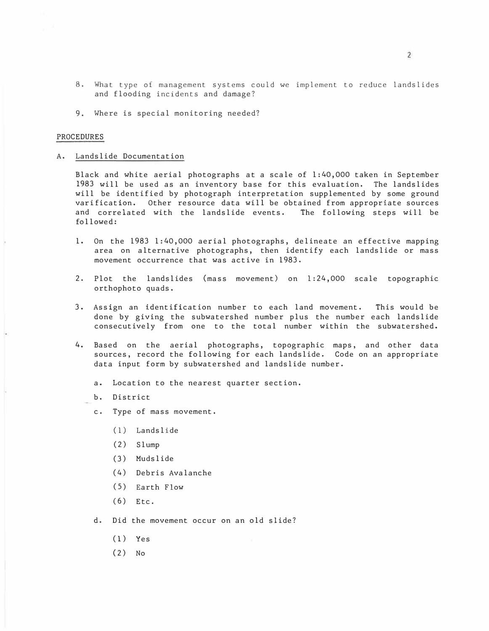- 8. What type of management systems could we implement to reduce landslides and flooding incidents and damage?
- 9. Where is special monitoring needed?

## PROCEDURES

#### A. Landslide Documentation

Black and white aerial photographs at a scale of 1:40, 000 taken in September 1983 will be used as an inventory base for this evaluation. The landslides will be identified by photograph interpretation supplemented by some ground varification. Other resource data will be obtained from appropriate sources and correlated with the landslide events. The following steps will be followed:

- 1. On the 1983 1:40, 000 aerial photographs, delineate an effective mapping area on alternative photographs, then identify each landslide or mass movement occurrence that was active in 1983.
- 2. Plot the landslides (mass movement) on 1:24, 000 scale topographic orthophoto quads.
- 3. Assign an identification number to each land movement. This would be done by giving the subwatershed number plus the number each landslide consecutively from one to the total number within the subwatershed.
- 4. Based on the aerial photographs, topographic maps, and other data sources, record the following for each landslide. Code on an appropriate data input form by subwatershed and landslide number.
	- a. Location to the nearest quarter section.
	- b. District
	- c. Type of mass movement.
		- ( 1) Landslide
		- (2) Slump
		- (3) Mudslide
		- (4) Debris Avalanche
		- (5) Earth Flow
		- (6) Etc.
	- d. Did the movement occur on an old slide?
		- (1) Yes
		- (2) No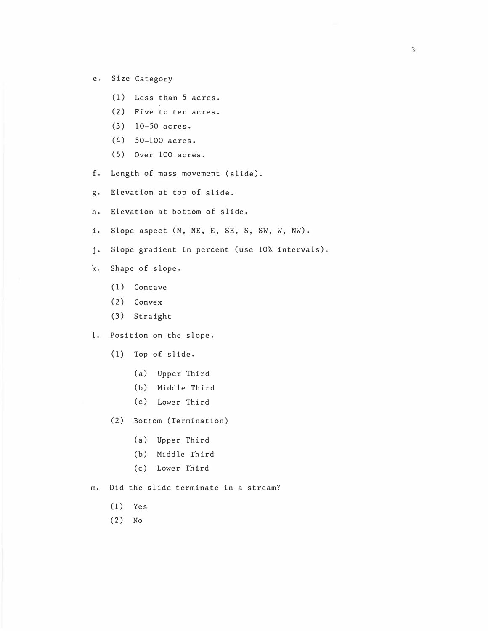- e. Size Category
	- (1) Less than 5 acres.
	- (2) Five to ten acres.
	- (3) 10-50 acres.
	- $(4)$  50-100 acres.
	- (5) Over 100 acres.
- f. Length of mass movement (slide) .
- g. Elevation at top of slide.
- h. Elevation at bottom of slide .
- i. Slope aspect (N, NE, E, SE, S, SW, W, NW).
- j. Slope gradient in percent (use 10% intervals).
- k. Shape of slope .
	- (1) Concave
	- (2) Convex
	- (3) Straight
- 1. Position on the slope.
	- (1) Top of slide.
		- (a) Upper Third
		- (b) Middle Third
		- (c) Lower Third
	- (2) Bottom (Termination)
		- (a) Upper Third
		- (b) Middle Third
		- (c) Lower Third
- m. Did the slide terminate in a stream?
	- (1) Yes
	- (2) No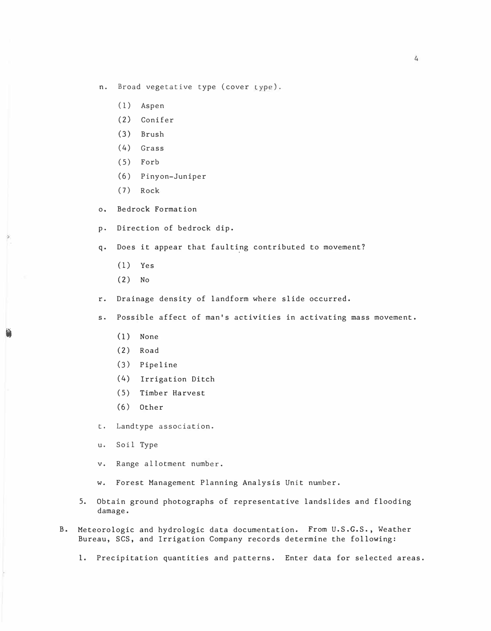- n. Broad vegetative type (cover type) .
	- (1) Aspen
	- (2) Conifer
	- (3) Brush
	- (4) Grass
	- (5) Forb
	- (6) Pinyon-Juniper
	- (7) Rock
- o. Bedrock Formation
- p. Direction of bedrock dip.

q. Does it appear that faulting contributed to movement?

(1) Yes

b

(2) No

r. Drainage density of landform where slide occurred.

s. Possible affect of man's activities in activating mass movement.

- (1) None
- (2) Road
- (3) Pipeline
- (4) Irrigation Ditch
- (5) Timber Harvest
- (6) Other

t. Landtype association.

- u. Soil Type
- v. Range allotment number.
- w. Forest Management Planning Analysis Unit number.
- 5. Obtain ground photographs of representative landslides and flooding damage.
- B. Meteorologic and hydrologic data documentation. From U.S.G.S., Weather Bureau, SCS, and Irrigation Company records determine the following:
	- 1. Precipitation quantities and patterns. Enter data for selected areas.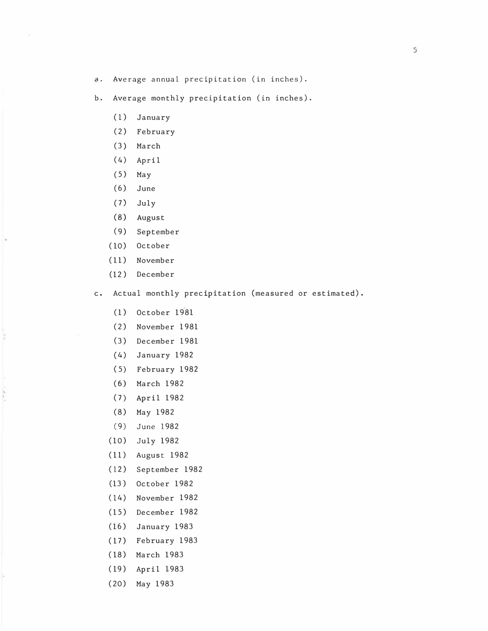- a. Average annual precipitation (in inches).
- b. Average monthly precipitation (in inches).
	- (1) January
	- (2) February
	- (3) March
	- (4) April
	- (5) May
	- (6) June
	- (7) July
	- (8) August
	- (9) September
	- (10) October
	- (11 ) November
	- (12 ) December

ķ.

 $\label{eq:1} \begin{array}{ll} \mathcal{L}_{\mathcal{A}} & \mathcal{L}_{\mathcal{A}} \\ \mathcal{L}_{\mathcal{A}} & \mathcal{L}_{\mathcal{A}} \\ \end{array}$ 

c. Actual monthly precipitation (measured or estimated).

- (1) October 1981
- (2) November 1981
- (3) December 1981
- (4) January 1982
- (5) February 1982
- (6) March 1982
- (7) April 1982
- (8) May 1982
- (9) June 1982
- (10) July 1982
- (11 ) August 1982
- (12 ) September 1982
- (13 ) October 1982
- (14) November 1982
- (15 ) December 1982
- (16) January 1983
- (17) February 1983
- (18) March 1983
- (19) April 1983
- (20) May 1983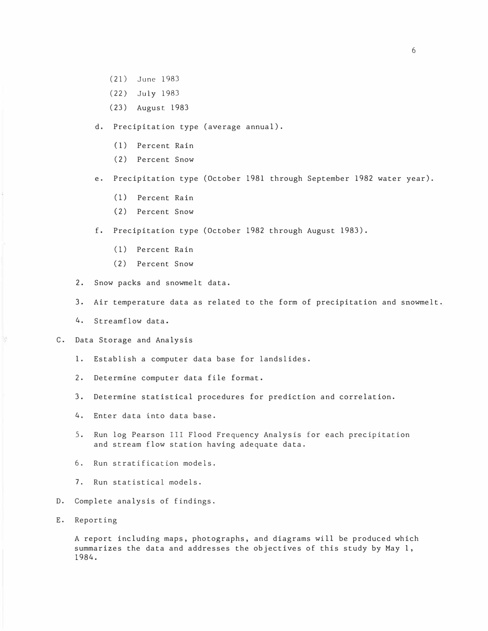- (21) June 1983
- (22) July 1983
- (23) August 1983

d. Precipitat ion type (average annual).

- (1) Percent Rain
- (2) Percent Snow

e. Precipitation type (October 1981 through September 1982 water year).

- (1) Percent Rain
- (2) Percent Snow

f. Precipitation type (October 1982 through August 1983).

- (1) Percent Rain
- (2) Percent Snow

2. Snow packs and snowmelt data.

- 3. Air temperature data as related to the form of precipitation and snowmelt.
- 4. Streamflow data.

C. Data Storage and Analysis

- 1. Establish a computer data base for landslides.
- 2. Determine computer data file format.
- 3. Determine statistical procedures for prediction and correlation.
- 4. Enter data into data base.
- 5. Run log Pearson III Flood Frequency Analysis for each precipitation and stream flow stat ion having adequate data.
- 6. Run strat if ication models.
- 7. Run statistical models.
- D. Complete analysis of findings.
- E. Report ing

V.

A report including maps, photographs, and diagrams will be produced which summarizes the data and addresses the objectives of this study by May 1, 1984.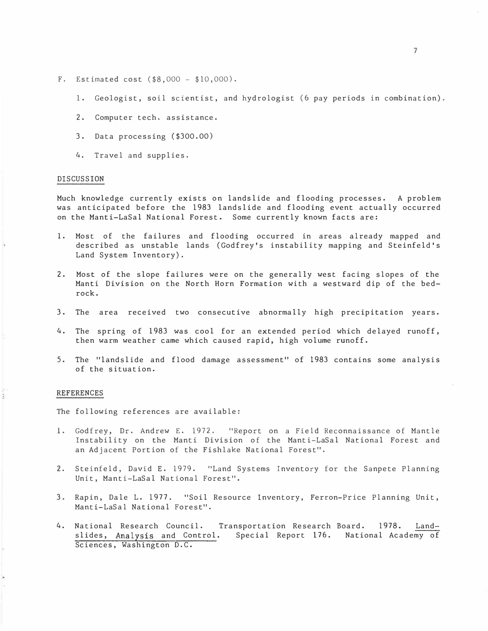- F. Estimated cost (\$8,000 \$10,000).
	- 1. Geologist, soil scientist, and hydrologist (6 pay periods in combination).
	- 2. Computer tech. assistance.
	- 3. Data processing (\$300.00)
	- 4. Travel and supplies.

## DISCUSSION

Much knowledge currently exists on landslide and flooding processes. A problem was anticipated before the 1983 landslide and flooding event actually occurred on the Manti-LaSal National Forest. Some currently known facts are:

- 1. Most of the failures and flooding occurred in areas already mapped and described as unstable lands (Godfrey's instability mapping and Steinfeld's Land System Inventory).
- 2. Most of the slope failures were on the generally west facing slopes of the Manti Division on the North Horn Formation with a westward dip of the bedrock.
- 3. The area received two consecutive abnormally high precipitation years.
- 4. The spring of 1983 was cool for an extended period which delayed runoff, then warm weather came which caused rapid, high volume runoff.
- 5. The "landslide and flood damage assessment" of 1983 contains some analysis of the situation.

## REFERENCES

è

The following references are available:

- 1. Godfrey, Dr. Andrew E. 1972. "Report on a Field Reconnaissance of Mantle Instability on the Manti Division of the Manti-LaSal National Forest and an Adjacent Portion of the Fishlake National Forest".
- 2. Steinfeld, David E. 1979. "Land Systems Inventory for the Sanpete Planning Unit, Manti-LaSal National Forest".
- 3. Rapin, Dale L. 1977. "Soil Resource Inventory, Ferron-Price Planning Unit, Manti-LaSal National Forest".
- 4. National Research Council. Transportation Research Board. 1978. Landslides, Analysis and Control. Special Report 176. National Academy of Sciences, Washington D.C.